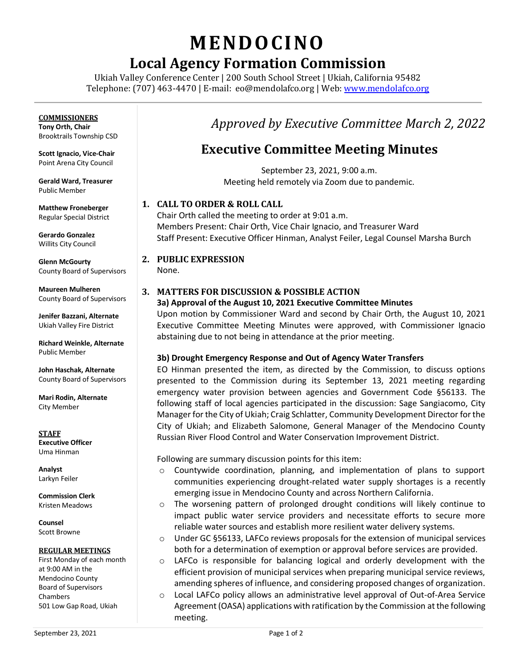# **MENDO CINO**

# **Local Agency Formation Commission**

Ukiah Valley Conference Center | 200 South School Street | Ukiah, California 95482 Telephone: (707) 463-4470 | E-mail: [eo@mendolafco.org](mailto:eo@mendolafco.org) | Web[: www.mendolafco.org](http://www.mendolafco.org/)

### **COMMISSIONERS**

**Tony Orth, Chair** Brooktrails Township CSD

**Scott Ignacio, Vice-Chair** Point Arena City Council

**Gerald Ward, Treasurer** Public Member

**Matthew Froneberger** Regular Special District

**Gerardo Gonzalez** Willits City Council

**Glenn McGourty** County Board of Supervisors

**Maureen Mulheren** County Board of Supervisors

**Jenifer Bazzani, Alternate** Ukiah Valley Fire District

**Richard Weinkle, Alternate** Public Member

**John Haschak, Alternate** County Board of Supervisors

**Mari Rodin, Alternate** City Member

**STAFF Executive Officer** Uma Hinman

**Analyst** Larkyn Feiler

**Commission Clerk** Kristen Meadows

**Counsel** Scott Browne

#### **REGULAR MEETINGS**

First Monday of each month at 9:00 AM in the Mendocino County Board of Supervisors Chambers 501 Low Gap Road, Ukiah

## *Approved by Executive Committee March 2, 2022*

### **Executive Committee Meeting Minutes**

September 23, 2021, 9:00 a.m. Meeting held remotely via Zoom due to pandemic.

#### **1. CALL TO ORDER & ROLL CALL**

Chair Orth called the meeting to order at 9:01 a.m. Members Present: Chair Orth, Vice Chair Ignacio, and Treasurer Ward Staff Present: Executive Officer Hinman, Analyst Feiler, Legal Counsel Marsha Burch

#### **2. PUBLIC EXPRESSION**

None.

#### **3. MATTERS FOR DISCUSSION & POSSIBLE ACTION**

#### **3a) Approval of the August 10, 2021 Executive Committee Minutes**

Upon motion by Commissioner Ward and second by Chair Orth, the August 10, 2021 Executive Committee Meeting Minutes were approved, with Commissioner Ignacio abstaining due to not being in attendance at the prior meeting.

#### **3b) Drought Emergency Response and Out of Agency Water Transfers**

EO Hinman presented the item, as directed by the Commission, to discuss options presented to the Commission during its September 13, 2021 meeting regarding emergency water provision between agencies and Government Code §56133. The following staff of local agencies participated in the discussion: Sage Sangiacomo, City Manager for the City of Ukiah; Craig Schlatter, Community Development Director for the City of Ukiah; and Elizabeth Salomone, General Manager of the Mendocino County Russian River Flood Control and Water Conservation Improvement District.

Following are summary discussion points for this item:

- o Countywide coordination, planning, and implementation of plans to support communities experiencing drought-related water supply shortages is a recently emerging issue in Mendocino County and across Northern California.
- o The worsening pattern of prolonged drought conditions will likely continue to impact public water service providers and necessitate efforts to secure more reliable water sources and establish more resilient water delivery systems.
- $\circ$  Under GC §56133, LAFCo reviews proposals for the extension of municipal services both for a determination of exemption or approval before services are provided.
- o LAFCo is responsible for balancing logical and orderly development with the efficient provision of municipal services when preparing municipal service reviews, amending spheres of influence, and considering proposed changes of organization.
- o Local LAFCo policy allows an administrative level approval of Out-of-Area Service Agreement (OASA) applications with ratification by the Commission at the following meeting.